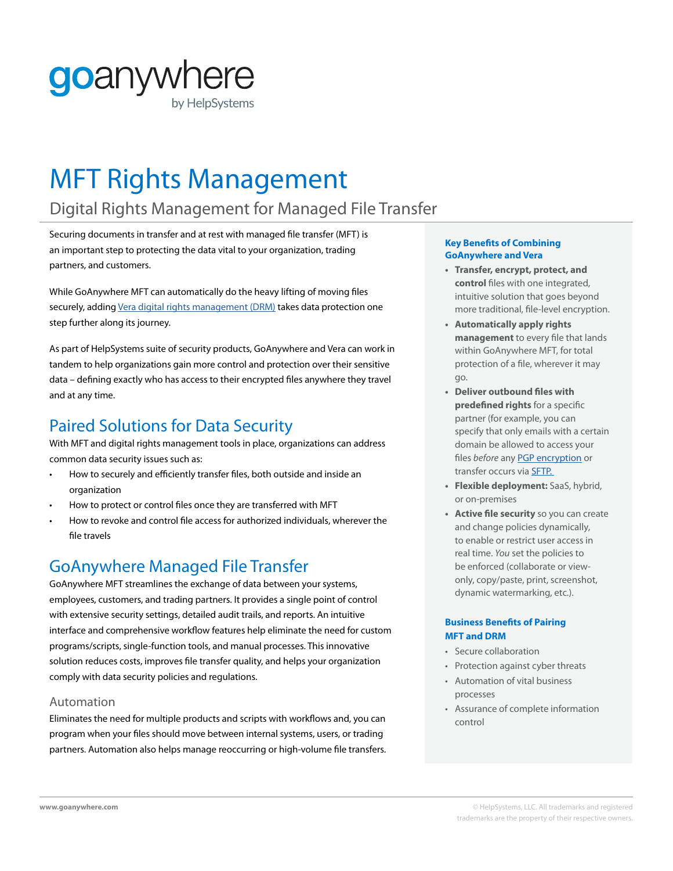# goanywhere by HelpSystems

# MFT Rights Management

# Digital Rights Management for Managed File Transfer

Securing documents in transfer and at rest with managed file transfer (MFT) is an important step to protecting the data vital to your organization, trading partners, and customers.

While GoAnywhere MFT can automatically do the heavy lifting of moving files securely, adding Vera digital rights [management](https://www.helpsystems.com/product-lines/vera) (DRM) takes data protection one step further along its journey.

As part of HelpSystems suite of security products, GoAnywhere and Vera can work in tandem to help organizations gain more control and protection over their sensitive data – defining exactly who has access to their encrypted files anywhere they travel and at any time.

## Paired Solutions for Data Security

With MFT and digital rights management tools in place, organizations can address common data security issues such as:

- How to securely and efficiently transfer files, both outside and inside an organization
- How to protect or control files once they are transferred with MFT
- How to revoke and control file access for authorized individuals, wherever the file travels

### GoAnywhere Managed File Transfer

GoAnywhere MFT streamlines the exchange of data between your systems, employees, customers, and trading partners. It provides a single point of control with extensive security settings, detailed audit trails, and reports. An intuitive interface and comprehensive workflow features help eliminate the need for custom programs/scripts, single-function tools, and manual processes. This innovative solution reduces costs, improves file transfer quality, and helps your organization comply with data security policies and regulations.

#### Automation

Eliminates the need for multiple products and scripts with workflows and, you can program when your files should move between internal systems, users, or trading partners. Automation also helps manage reoccurring or high-volume file transfers.

#### **Key Benefits of Combining GoAnywhere and Vera**

- **• Transfer, encrypt, protect, and control** files with one integrated, intuitive solution that goes beyond more traditional, file-level encryption.
- **• Automatically apply rights management** to every file that lands within GoAnywhere MFT, for total protection of a file, wherever it may go.
- **• Deliver outbound files with predefined rights** for a specific partner (for example, you can specify that only emails with a certain domain be allowed to access your files *before* any [PGP encryption](https://www.goanywhere.com/solutions/open-pgp) or transfer occurs via [SFTP.](https://www.goanywhere.com/videos/sftp-server)
- **• Flexible deployment:** SaaS, hybrid, or on-premises
- **• Active file security** so you can create and change policies dynamically, to enable or restrict user access in real time. *You* set the policies to be enforced (collaborate or viewonly, copy/paste, print, screenshot, dynamic watermarking, etc.).

#### **Business Benefits of Pairing MFT and DRM**

- Secure collaboration
- Protection against cyber threats
- Automation of vital business processes
- Assurance of complete information control